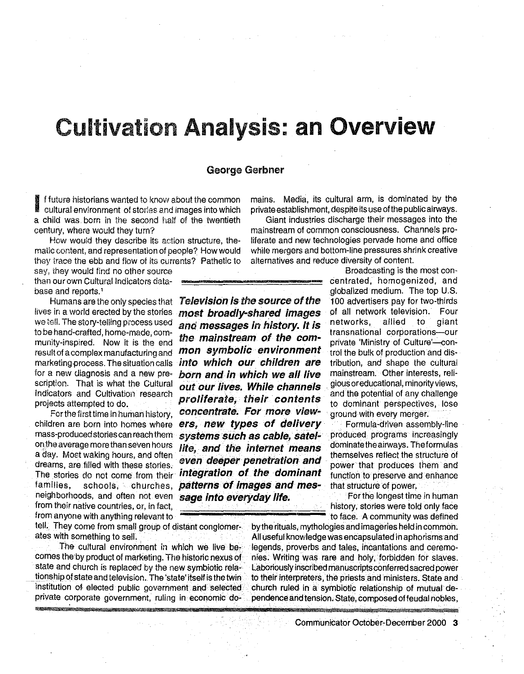# Cultivation Analysis: an **Overview**

## George Gerbner

I f future historians wanted to know about the common cultural environment of stories and images into which a child was born in the second half of the twentieth century, where would they turn?

How would they describe its action structure, thematic content, and representation of people? Howwould they trace the ebb and flow of its Gurrents? Pathetic to say, they would find no other source

than our own Cultural Indicators database and reports.'

Humans are the only species that lives in a world erected by the stories we tell. The story-telling process used to be hand-crafted, home-made, community-inspired. Now it is the end result of a complex manufacturing and marketing.process. The situation calis for a new diagnosis and a new prescription. That is what the Cultural Indicators and Cultivation research projects attempted to do.

Fcrthe first time in human history, children are born into homes where mass-produced stories can reach them on the average more than seven hours a day. Most waking hours, and often dreams, are filled with these stories. The stories do not come from their families, schools, churches, neighborhoods, and often not even from their native countries, or, in fact, from anyone wtth anything relevant to

tell. They come from small group of distant conglomerates with something to sell.

The cultural environment in which we live becomes the·by product of marketing. The historic nexus of state and church is replaced by the new symbiotic relationship of state and television. The 'state' itself is the twin institution of elected public government and selected private corporate government, ruling in economic do- . . . . . .<br><sub>BR</sub>ANC

mains. Media, its cultural arm, is dominated by the private establishment, despite its use of the public airways.

Giant industries discharge their messages into the mainstream of common consciousness. Channels proliferate and new technologies pervade home and office while mergers and bottom-line pressures shrink creative alternatives and reduce diversity of content.

Television is the source of the most broadly-shared images ana messages in history. It is the mainstream of the common symbolic environment into which our children are born and in which we all live out our lives. While channels proliferate, their contents and the potential of any challenge concentrate. For more view- ground with every merger. ers, new types of delivery Formula-driven assembly-line systems such as cable, satel- produced programs increasingly<br>lite and the internet means dominate the airways. The formulas lite, and the internet means even deeper penetration and power that produces them and integration of the dominant function to preserve and enhance patterns of images and mes-<br>that structure of power.

Broadcasting is the most con centrated, homogenized, and globalized medium. The top U.S. 100 advertisers pay for two-thirds of all network television. Four networks, allied to giant transnational corporations-our private 'Ministry of Culture'-control the bulk of production and distribution, and shape the cultural mainstream. Other interests, religiousoreducational, minority views, to dominant perspectives, lose

themselves reflect the structure of

sage into everyday life.<br>For the longest time in human history, stories were told only face to face. A community was defined

> by the rituals, mythologies and imageries held in common. All useful knowledge was encapsulated in aphorisms and legends, proverbs and tales, incantations and ceremonies. Writing was rare and holy, forbidden for slaves. laboriously inscribed manuscripts conferred sacred power 10 their interpreters, the priests and ministers. State and church ruled in a symbiotic relationship of mutual dependence and tension. State, composed of feudal nobles,<br>
> Communicator October-December 2000 3 pendenceand tension. State, composed offeudal nobles,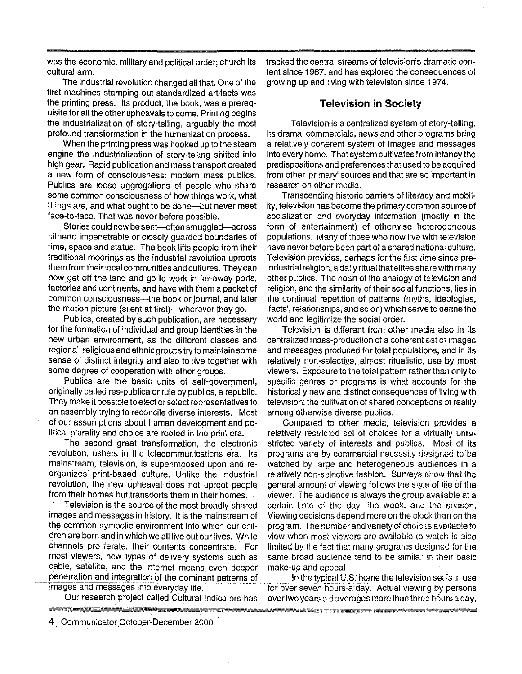was the economic, military and political order; church its cultural arm.

The industrial revolution changed all that. One of the first machines stamping out standardized artifacts was the printing press. Its product, the book, was a prerequisite for all the other upheavals to come. Printing begins the industrialization of story-telling, arguably the most profound transformation in the humanization process.

When the printing press was hooked up to the steam engine the industrialization of story-telling shifted into high gear. Rapid publication and mass transport created a new form of consciousness: modern mass publics. Publics are loose aggregations of people who share some common consciousness of how things work, what things are, and what ought to be done-but never meet face-to-face. That was never before possible.

Stories could now be sent--often smuggled-across hitherto impenetrable or closely guarded boundaries of time, space and status. The book lifts people from their traditional moorings as the industrial revolution uproots them from their local communities and cultures. They can now get off the land and go to work in far-away ports, factories and continents, and have with them a packet of common consciousness-the book or journal, and later the motion picture (silent at first)---wherever they go.

Publics, created by such publication, are necessary for the formation of individual and group identities in the new urban environment, as the different classes and regional, religious and ethnic groups try to maintain some sense of distinct integrity and also to live together with some degree of cooperation with other groups.

Publics are the basic units of self-government, originally called res-publica or rule by publics, a republic. They make it possible to elect or select representatives to an assembly trying to reconcile diverse interests. Most of our assumptions about human development and political plurality and choice are rooted in the print era.

The second great transformation, the electronic revolution, ushers in the telecommunications era. Its mainstream, television, is superimposed upon and reorganizes' print-based culture. Unlike the industrial revolution, the new upheaval does not uproot people from their homes but transports them in their homes.

Television is the source of the most broadly-shared images and messages in history. It is the mainstream of the common symbolic environment into which our children are born and in which we all live out our lives. While channels proliferate, their contents concentrate. For most vieWers, new types of delivery systems such as cable, satellite, and the internet means even deeper penetration and integration of the dominant patterns of images and messages into everyday life.

Our research project called Cultural Indicators has

tracked the central streams of television's dramatic content since 1967, and has explored the consequences of growing up and living with television since 1974.

### **Television in** Society

Television is a centralized system of story-telling. Its drama, commercials, news and other programs bring a relatively coherent system of images and messages into every home. That system cultivates from infancy the predispositions and preferences that used to be acquired from other 'primary' sources and that are so important in research on other media.

Transcending historic barriers of literacy and mobility, television has become the primary common source of socialization and everyday information (mostly in the form of entertainment) of otherwise heterogeneous populations. Many of those who now live with television have never before been part of a shared national culture. Television provides', perhaps for the first time since preindustrial religion, a daily ritual that elites share with many other publics. The heart of the analogy of television and religion, and the similarity of their social functions, lies in the continual repetition of patterns (myths, ideologies, 'facts', relationships, and so on) which serve to define the world and legitimize the social order.

Television is different from other media also in its centralized mass-production of a coherent set of images and messages produced for total populations, and in its relatively non-selective, almost ritualistic, use by most viewers. Exposure to the total pattern rather than only to specific genres or programs is what accounts for the historically new and distinct consequences of living with television: the cultivation of shared conceptions of reality among otherwise diverse publics.

Compared to other media, television provides a relatively restricted set of choices for a virtually unrestricted variety of interests and publics. Most of its programs are by commercial necessity designed to be watched by large and heterogeneous audiences in a relatively non-selective fashion. Surveys show that the general amount of viewing follows the style of life of the viewer. The audience is always the group available at a certain time of the day, the week, and the season. Viewing decisions depend more on the clock than on the program. The number and variety of choices available to view when most viewers are available to watch is also limited by the fact that many programs designed for the same broad audience tend to be similar in their basic make-up and appeal

In the typical U.S. home the television set is in use for over seven hours·a day. Actual viewing by persons over two years old averages more than three hours a day.

.<br>Nakatatan ing kabupatèn Kalèndher Kalèndher Kalèndher Kalèndher Kalèndher Kalèndher Kalèndher Kalèndher Kalènd

Communicator October-December 2000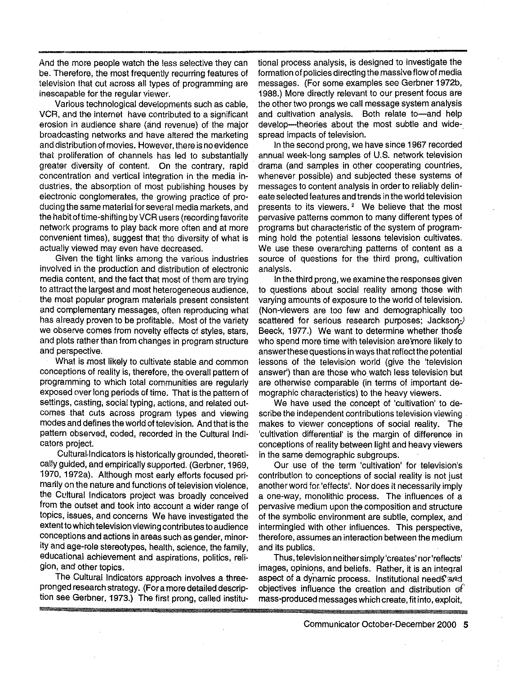And the more people watch the less selective they can be. Therefore, the most frequently recurring features of television that cut across all types of programming are inescapable for the regular viewer.

Various technological developments such as cable, VCR, and the internet have contributed to a significant erosion in audience share (and revenue) of the major broadcasting networks and have altered the marketing and distribution of movies. However, there is no evidence that proliferation of channels has led to substantially greater diversity of content. On the contrary, rapid concentration and vertical integration in the media industries, the absorption of most publishing houses by electronic conglomerates, the growing practice of producing the same material for several media markets, and the habit of time-shifting byVCR users (recording favorite network programs to play back more often and at more convenient times), suggest that the diversity of what is actually viewed may even have decreased.

Given the tight links among the various industries involved in the production and distribution of electronic media content, and the fact that most of them are trying to attract the largest and most heterogeneous audience, the most popular program materials present consistent and complementary messages, often reproducing what has already proven to be profitable. Most of the variety we observe comes from novelty effects of styles, stars, and plots rather than from changes in program structure and perspective.

What is most likely to cultivate stable and common conceptions of reality is, therefore, the overall pattern of programming to which total communities are regularly exposed over long periods of time. That is the pattern of settings, casting, social typing, actions, and related outcomes that cuts across program types and viewing modes and defines the world of television. And that is the pattern observed, coded, recorded in the Cultural Indicators project.

Cultural·lndicators is historically grounded, theoretically guided, and empirically supported. (Gerbner, 1969, 1970, 1972a). Although most early efforts focused primarily on the nature and functions of television violence, the Cultural Indicators project was broadly conceived from the outset and took into account a wider range of topics, issues, and concerns We have investigated the extent to which television viewing contributes to audience conceptions and actions in areas such as gender, minority and age-role stereotypes, health, science, the family, educational achievement and aspirations, politics, religion, and other topics.

The Cultural Indicators approach involves a threepronged research strategy. (For a more detailed description see Gerbner, 1973.) The first prong, called institutional process analysis, is designed to investigate the formation of pOlicies directing the massive flow of media messages. (For some examples see Gerbner 1972b, 1988.) More directly relevant to our present focus are the other two prongs we call message system analysis and cultivation analysis. Both relate to-and help develop---theories about the most subtle and widespread impacts of television.

In the second prong, we have since 1967 recorded annual week-long samples of U.S. network television drama (and samples in other cooperating countries, whenever possible) and subjected these systems of messages to content analysis in order to reliably delineate selected features and trends in the world television presents to its viewers,  $2$  We believe that the most pervasive patterns common to many different types of programs but characteristic of the system of programming hold the potential lessons television cultivates. We use these overarching patterns of content as a source of questions for the third prong, cultivation analysis.

In the third prong, we examine the responses given to questions about social reality among those with varying amounts of exposure to the world of television. (Non-viewers are too few and demographically too scattered for serious research purposes; Jackson<sub>2</sub>) Beeck, 1977.) We want to determine whether those who spend more time with television are more likely to answerthese questions in ways that reflect the potential lessons of the television world (give the 'television answer') than are those who watch less television but are otherwise comparable (in terms of important demographic characteristics) to the heavy viewers.

We have used the concept of 'cultivation' to describe the independent contributions television viewing makes to viewer conceptions of social reality. The 'cultivation differential' is ihe margin of difference in conceptions of reality between light and heavy viewers in the same demographic subgroups.

Our use of the term 'cultivation' for television's contribution to conceptions of social reality is not just another word for 'effects'. Nor does it necessarily imply a one-way, monolithic process. The influences of a pervasive medium upon the composition and structure of the symbolic environment are subtle, complex, and intermingled with other influences. This perspective, therefore, assumes an interaction between the medium and its publics.

Thus, teleVision neither simply 'creates' nor'reflects' images, opinions, and beliefs. Rather, it is an integral aspect of a dynamic process. Institutional needs and objectives influence the creation and distribution of mass-produced messages which create, fit into, exploit,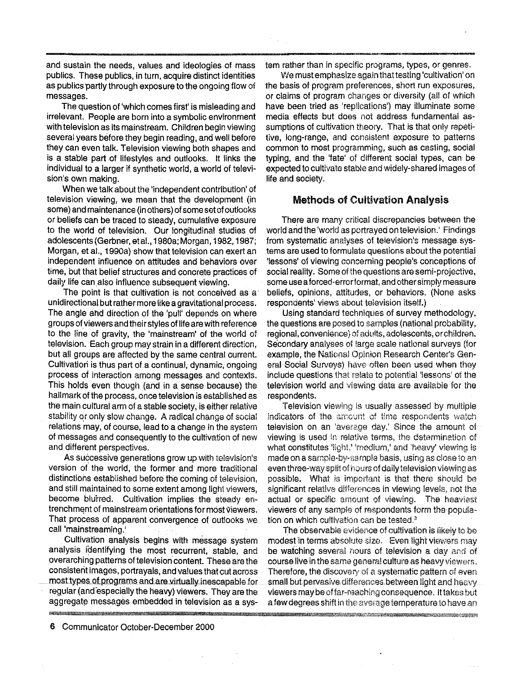and sustain the needs, values and ideologies of mass publics. These publics, in turn, acquire distinct identities as publics partly through exposure to the ongoing flow of messages.

The question of 'which comes first' is misleading and irrelevant. People are born into a symbolic environrnent with television as its mainstream. Children begin viewing several years before they begin reading, and well before they can even talk. Television viewing both shapes and is a stable part of lifestyles and outlooks. It links the individual to a larger if synthetic world, a world of television's own making.

When we talk about the 'independent contribution' of television viewing, we mean that the development (in some) and maintenance (in others) of some set of outlooks or beliefs can be traced to steady, cumulative exposure to the world of television. Our longitudinal studies of adolescents (Gerbner, etal., 1980a; Morgan, 1982, 1987; Morgan, et al., 1990a) show that television can exert an independent influence on attitudes and behaviors over time, but that belief structures and concrete practices of daily life can also influence subsequent viewing.

The point is that cultivation is not conceived as a unidirectional but rather more like a gravitational process. The angle and direction of the 'pull' depends on where groups of viewers and their styles of life are with reference to the line of gravity, the 'mainstream' of the world of television. Each group may strain in a different direction, but all groups are affected by the same central current. Cultivatiori is thus part of a continual, dynarnic, ongoing process of interaction among messages and contexts. This holds even though (and in a sense because) the hallmark of the process, once television is established as the main culfural arm of a stable society, is either relative stability or only slow change. A radical change of social relations may, of course, lead to a change in the system of messages and consequently to the cultivation of new and different perspectives.

As Successive generations grow up with television's version o{ the world, the former and more traditional distinctions established before the coming of television, and still maintained to some extent among light viewers, become blurred. Cultivation implies the steady entrenchment of mainstream orientations for most viewers. That process of apparent convergence of outlooks we call 'mainstreaming.'

Cultivation analysis begins with message system analysis identifying the most recurrent, stable, and overarching patterns of television content. These are the consisterit images, portrayals, and values that cut across most types of programs and are virtually inescapable for regular (and'especiallythe heavy) viewers. They are the aggregate messages embedded in television as a system rather than in specific programs, types, or genres.

We must emphasize again that testing 'cultivation' on the basis of program preferences, short run exposures, or claims of program changes or diversity (all of which have been tried as 'replications') may illuminate some media effects but does not address fundamental assumptions of cultivation theory. That is that only repeti· tive, long-range, and consistent exposure to patterns common to most programming, such as casting, social typing, and the 'fate' of different social types, can be expected to cultivate stable and widely-shared images of life and society.

#### Methods of Cultivation Analysis

There are many critical discrepancies between the world and the 'world as portrayed on television.' Findings from systematic analyses of television's message. systems are used to formulate questions about the potential 'lessons' of viewing concerning people's conceptions of social reality. Some of the questions are semi-projective, some use a forced-errorformat, and othersimply measure beliefs, opinions, altitudes, or behaviors. (None asks respondents' views about television itself.)

Using standard techniques of survey methodology, the questions are posed to samples (national probability, regional, convenience) of adults, adolescents, orchildren. Secondary analyses of large scale national surveys (for example, the National Opinion Research Center's General Social Surveys) have often been used when they include questions thai relate to potential 'lessons' ot the television world and viewing data are available for the respondents.

Television viewing is usually assessed by multiple indicators of the amount of time respondents watch television on an 'average day.' Since the amount of viewing is used in relative terms, the determination of what constitutes 'light,' 'medium: and 'heavy' viewing is made on a sample-by-sample basis, using as close to an even three-way split of hours of daily television viewing as possible. What is important is that there should be significant relative differences in viewing levels, not the actual or specific amount of viewing. The heaviest viewers of any sample of respondents form the population on which cultivation can be tested.<sup>3</sup>

The observable evidence 01 cultivation is likely to be modest in terms absolute size. Even light viewers may be watching several nours of television a day and of course live in the same general culture as heavy viewers. Therefore, the discovery of a systematic pattern of even small but pervasive differences between light and heavy. viewers may be of far-reaching consequence. It takes but a few degrees shift in the average temperature to have an

.<br>Martin Martin Santa Martin Martin Martin Martin Martin Martin Martin Martin Martin Martin Martin Martin Martin

6 Communicator October-December 2000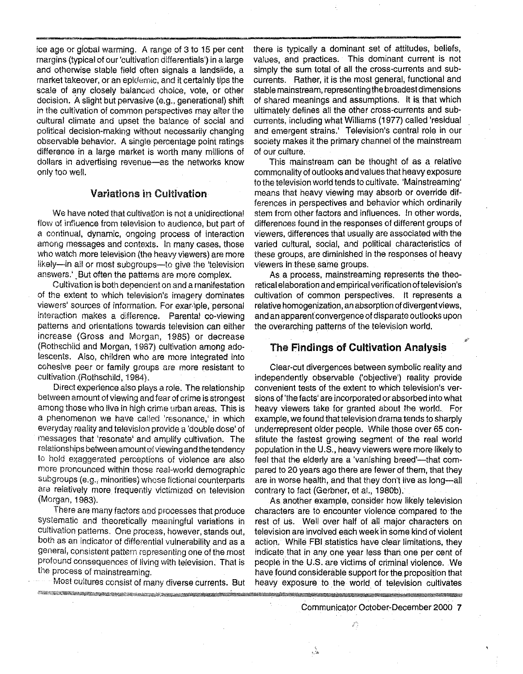ice age or global warming. A range of 3 to 15 per cent margins (typical of our 'cultivation differentials') in a large and otherwise stable field often signals a landslide, a market takeover, or an epidemic, and it certainly tips the scale of any closely balanced choice, vote, or other decision. A slight but pervasive (e.g., generational) shift in the cultivation of common perspectives may alter the cultural climate and upset the balance of social and political decision-making without necessarily changing observable behavior. A single percentage point ratings difference in a large market is worth many millions of dollars in advertising revenue-as the networks know only too well.

# Variations in CUltivation

We have noted that cultivation is not a unidirectional flow of influence from television to audience, but part of a continual, dynamic, ongoing process of interaction among messages and contexts. In many cases, those who watch more television (the heavy viewers) are more likely-in all or most subgroups-to give the 'television answers.' But often the patterns are more complex.

Cultivation is both dependent on and a manifestation of the extent to which television's imagery dominates viewers' sources of information. For example, personal interaction makes a difference. Parental co-viewing patterns and orientations towards television can either increase (Gross and Morgan, 1985) or decrease (Rothschild and Morgan, 1987) cultivation among adolescents. Also, children who are more integrated into cohesive peer or family groups are more resistant to cultivation .(Rothschild, 1984).

Direct experience also plays a role. The relationship between amount 01 viewing and fear of crime is strongest among those who live in high crime urban areas. This is a phenomenon we have called 'resonance,' in which everyday reality and television provide a 'double dose' of messages that 'resonate' and amplify cultivation. The relationships between amount of viewing and the tendency to hold exaggerated perceptions of violence are also more pronounced within those real-world demographic subgroups (e.g., minorities) whose fictional counterparts are relatively more frequently victimized on television (Morgan, 1983).

There are many factors and processes that produce systematic and theoretically meaningful variations in cultivation patterns. One process, however, stands out, both as an indicator of differential vulnerability and as a general, consistent pattern representing one of the most profound consequences 01 living with television. That is the process of mainstreaming.

Most cultures consist of many diverse currents. But

there is typically a dominant set of attitudes, beliefs, values, and practices. This dominant current is not simply the sum total of all the cross-currents and subcurrents. Rather, it is the most general, functional and stable mainstream, representing the broadest dimensions of shared meanings and assumptions. It is that which ultimately defines all the other cross-currents and subcurrents, including what Williams (1977) called 'residual and emergent strains.' Television's central role in our society makes it the primary channel of the mainstream of our culture.

This mainstream can be thought of as a relative commonality of outlooks and values that heavy exposure to the television world tends to cultivate. 'Mainstreaming' means that heavy viewing may absorb or override differences in perspectives and behavior which ordinarily stem from other factors and influences. In other words, differences found in the responses of different groups of viewers, differences that usually are associated with the varied cultural, social, and political characteristics of these groups, are diminished in the responses of heavy viewers in these same groups.

As a process, mainstreaming represents the theoretical elaboration and empirical verification of television's cultivation of common perspectives. It represents a relative homogenization, an absorption of divergentviews, and an apparent convergence of disparate outlooks upon the overarching patterns of the television world.

# **The Findings of Cultivation Analysis**

Clear-cut divergences between symbolic reality and independently observable ('objective') reality provide convenient tests of the extent to which television's versions of 'the facts' are incorporated or absorbed into what heavy viewers take for granted about the world. For example, we found that television drama tends to sharply underrepresent older people. While those over 65 constitute the fastest growing segment of the real world population in the U.S., heavy viewers were more likely to feel that the elderly are a 'vanishing breed'—that compared to 20 years ago there are fewer of them, that they are in worse health, and that they don't live as long-all contrary to fact (Gerbner, et aI., 1980b).

As another example, consider how likely television characters are to encounter violence compared to the rest of us. Well over half of all major characters on television are involved each week in some kind of violent action. While FBI statistics have clear limitations, they indicate that in anyone year less than one per cent of people in the U.S. are victims of criminal violence. We have found considerable support for the proposition that heavy exposure to the world of television cultivates Most cultivates Most cultivates  $\sim$ 

 $, \rangle$ 

Communicator October-December 2000 7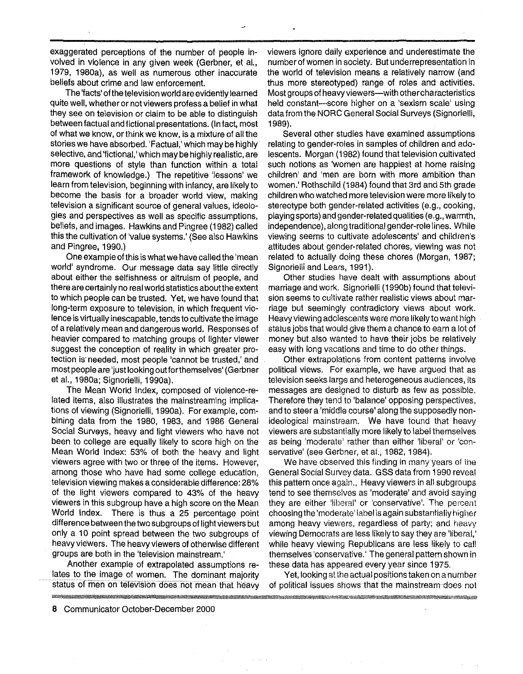exaggerated perceptions of the number of people involved in violence in any given week (Gerbner, et aI., 1979, 1980a), as well as numerous other inaccurate beliefs about crime and law enforcement.

The 'facts' olthe television world are evidently learned quite well, whether or not viewers profess a belief in what they see on television or claim to be able to distinguish between factual and fictional presentations. (In fact, most of what we know, orthinkwe know, is a mixture of all the stories we have absorbed. 'Factual,' which may be highly selective, and 'fictional,' which may be highly realistic, are more questions of style than function within a total framework of knowledge.) The repetitive 'lessons' we learn from television, beginning with infancy, are likely to become the basis for a broader world view, making television a significant source of general values, ideologies and perspectives as well as specific assumptions, beliefs, and images. Hawkins and Pingree (1982) called this the cultivation of 'value systems.' (See also Hawkins and Pingree, 1990.)

One example of this is what we have called the 'mean world' syndrome. Our message data say little directly about either the selfishness or altruism of people, and there are certainly no real world statistics about the extent to which people can be trusted. Yet, we have found that long-term exposure to television, in which frequent violence is virtually inescapable, tends to cultivate the image of a relatively mean and dangerous world. Responses of heavier compared to matching groups of lighter viewer suggest the conception of reality in which greater protection is' needed, most people 'cannot be trusted,' and most people are 'just looking outforthemselves' (Gerbner et aI., 1980a; Signorielli, 1990a).

The Mean World Index, composed of violence-related items, also illustrates the mainstreaming implications of viewing (Signorielli, 1990a). For example, combining data from the 1980, 1983, and 1986 General Social Surveys, heavy and light viewers who have not been to college are equally likely to score high on the Mean World Index: 53% of both the heavy and light viewers agree with two or three of the items. However, among those who have had some college education, television viewing makes a considerable difference: 28% of the light viewers compared to 43% of the heavy viewers in this subgroup have ahigh score on the Mean World Index. There is thus a 25 percentage point difference between the two subgroups of light viewers but only a 10 point spread between the two subgroups of heavy viewers. The heavy viewers of otherwise different groups are both in the 'television mainstream.'

Another example of extrapolated assumptions relates to the image of women. The dominant majority status of men on television does not mean that heavy

viewers ignore daily experience and underestimate the numberof women in society. But underrepresentation in the world of television means a relatively narrow (and thus more stereotyped) range of roles and activities. Most groups of heavy viewers-with other characteristics held constant-score higher on a 'sexism scale' using data from the NORC General Social Surveys (Signorielli, 1989).

Several other studies have examined assumptions relating to gender-roles in samples of children and adolescents. Morgan (1982) found that television cultivated such notions as 'women are happiest at home raising children' and 'men are born with more ambition than women.' Rothschild (1984) found that 3rd and 5th grade children who watched more television were more likely to stereotype both gender-related activities (e.g., cooking, playing sports) and gender-related qualities (e.g., warmth, independence), along traditional gender-role lines. While viewing seems to cultivate adolescents' and children's attitudes about gender-related chores, viewing was not related to actually doing these chores (Morgan, 1987; Signorielli and Lears, 1991).

Other studies have dealt with assumptions about marriage and work. Signorielli (1990b) found that television seems to cultivate rather realistic views about marriage but seemingly contradictory views about work. Heavy viewing adclescents were more likely to want high status jobs that would give them a chance to earn a lot of money but also wanted to have their jobs be relatively easy with long vacations and time to do other things.

Other extrapolations from content patterns involve political views. For example, we have argued that as television seeks large and heterogeneous audiences, its messages are designed to disturb as few as possible. Therefore they tend to 'balance' opposing perspectives, and to steer a 'middle course' along the supposedly nonideological mainstream. We have found that heavy viewers are substantially more likely to label themselves as being 'moderate' rather than either 'liberal' or 'conservative' (see Gerbner, et aI., '1982, 1984).

We have observed this finding in many years of the General Social Survey data. GSS data from 1990 reveal this pattern once again., Heavy viewers in all subgroups tend to see themselves as 'moderate' and avoid saying they are either 'liberal' or 'conservative'. The percent choosing the 'moderate' label is again substantially higher among heavy viewers, regardless of party; and heavy viewing Democrats are less likely to say they are 'liberal,' while heavy viewing Republicans are less likely to cal! themselves 'conservative.' The general pattern shown in these data has appeared every year since 1975.

Yet, looking at the actual positions taken on a number of political issues shows that the mainstream does not

8 Communicator October-December 2000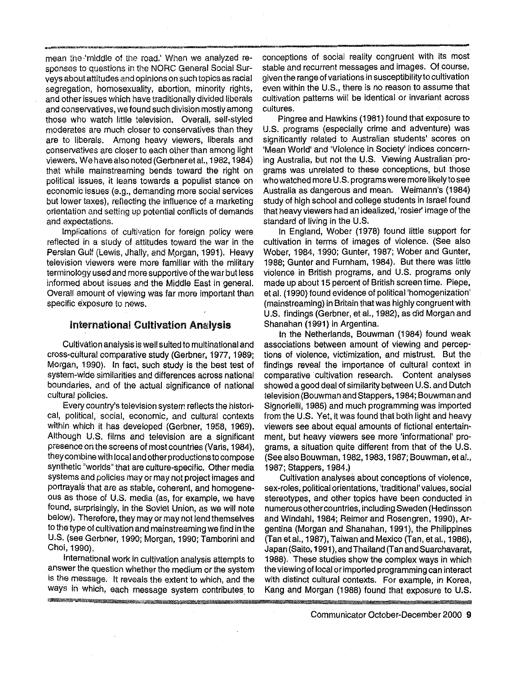mean the 'middle of the road.' When we analyzed responses to questions in the NORC General Social Surveys about attitudes and opinions on such topics as racial segregation. homosexuality, abortion, minority rights, and other issues which have traditionally divided liberals and conservatives, we found such division mostly among those who watch little television. Overall, self-styled moderates are much closer to conservatives than they are to liberals. Among heavy viewers, liberals and conservatives are closer to each other than among light viewers. We have also noted (Gerbneret aI., 1982, 1984) that while mainstreaming bends toward the right on political issues, it leans towards a populist stance on economic issues (e.g., demanding more social services but lower taxes), reflecting the influence of a marketing orientation and setting up potential conflicts of demands and expectations.

Implications of cultivation for foreign policy were reflected in a study of attitudes toward the war in the Persian Gulf (Lewis, Jhally, and Morgan, 1991). Heavy television viewers were more familiar with the military terminology used and more supportive of the war but less informed about issues and the Middle East in general. Overall amount of viewing was far more important than specific exposure to news.

### **International Cultivation Analysis**

Cultivation analysis is well suited to multinational and cross-cultural comparative study (Gerbner, 1977, 1989; Morgan, 1990). In fact, such study is the best test of system-wide similarities and differences across national boundaries, and of the actual significance of national cultural policies.

Every country's television system reflects the historical, political, social, economic, and cultural contexts within which it has developed (Gerbner, 1958, 1969). Although U.S. films and television are a significant presence on the screens of most countries (Varis, 1984), they combine with local and other productions to compose synthetic "worlds" that are culture-specific. Other media systems and policies mayor may not project images and portrayals that are as stable, coherent, and homogeneous as those of U.S. media (as, for example, we have found, surprisingly, in the Soviet Union, as we will note below). Therefore, they mayor may not lend themselves to the type of cultivation and mainstreaming we find in the U.S. (see Gerbner, 1990; Morgan, 1990; Tamborini and Choi,1990).

International work in cultivation analysis attempts to answer the question whether the medium or the system is the message. It reveals the extent to which, and the ways in which, each message system contributes, to Kang and Morgan (1988) found that exposure to U.S.

~"~'~"~1~I~m~WM~1~~~~~~~~~~oom~~~~~~~~~~~~~~

conceptions of social reality congruent with its most stable and recurrent messages and images. Of course, given the range of variations in susceptibility to cultivation even within the U.S., there is no reason to assume that cUltivation patterns will be identical or invariant across cultures.

 $B_{\gamma}=\sum_{i=1}^N\frac{1}{i!}\sum_{j=1}^N\frac{1}{j!}\sum_{j=1}^N\frac{1}{j!}\sum_{j=1}^N\frac{1}{j!}\sum_{j=1}^N\frac{1}{j!}\sum_{j=1}^N\frac{1}{j!}\sum_{j=1}^N\frac{1}{j!}\sum_{j=1}^N\frac{1}{j!}\sum_{j=1}^N\frac{1}{j!}\sum_{j=1}^N\frac{1}{j!}\sum_{j=1}^N\frac{1}{j!}\sum_{j=1}^N\frac{1}{j!}\sum_{j=1}^N\frac{1}{j!}\sum_{j=1}$ 

Pingree and Hawkins (1981) found that exposure to U.S. programs (especially crime and adventure) was significantly related to Australian students' scores on 'Mean World' and 'Violence in Society' indices concerning Australia, but not the U.S. Viewing Australian'programs was unrelated to these conceptions, but those who watched more U.S. programs were more likely to see Australia as dangerous and mean. Weimann's (1984) study of high school and college students in Israel found that heavy viewers had an idealized, 'rosier' image of the standard of living in the U.S.

In England, Wober (1978) found little support for cultivation in terms of images of violence. (See also Wober, 1984, 1990; Gunter, 1987; Wober and Gunter, 1988; Gunter and Furnham, 1984). But there was little violence in British programs, and U.S. programs only made up about 15 percent of British screen time. Piepe, et al. (1990) found evidence of political 'homogenization' (mainstreaming) in Britain that was highly congruent with U.S. findings (Gerbner, et aI., 1982), as did Morgan and Shanahan (1991) in Argentina.

In the Netherlands, Bouwman (1984) found weak associations between amount of viewing and perceptions of violence, victimization, and mistrust. But the findings reveal the importance of cultural context in comparative cultivation research. Content analyses showed a good deal of similarity between U.S. and Dutch television (Bouwman and Stappers, 1984; Bouwman and Signorielli, 1985) and much programming was imported from the U.S. Yet, it was found that both light and heavy viewers see about equal amounts of fictional entertainment, but heavy viewers see more 'informational' programs, a situation quite different from that of the U.S. (See also Bouwman, 1982, 1983, 1987; Bouwman, et al., 1987; Stappers, 1984.)

Cultivation analyses about conceptions of violence, sex-roles, political orientations, 'traditional' values, social stereotypes, and other topics have been conducted in numerous other countries, including Sweden (Hedinsson and Windahl, 1984; Reimer and Rosengren, 1990), Argentina (Morgan and Shanahan, 1991), the Philippines (Tan et aI., 1987), Taiwan and Mexico (Tan, et al., 1986), Japan (Saito, 1991), and Thailand (Tan and Suarchavarat, 1988). These studies show the complex ways in which the viewing of local or imported programming can interact with distinct cultural contexts. For example, in Korea,

Communicator October-December 2000 9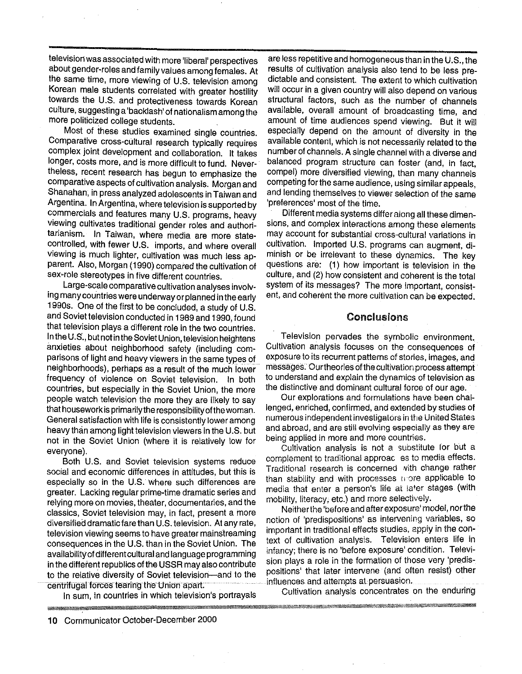television was associated with more 'liberal' perspectives about gender-roles and family values among females. At the same time, more viewing of U.S. television among Korean male students correlated with greater hostility towards the U.S. and protectiveness towards Korean culture, suggesting a 'backlash' of nationalism among the more politicized college students. .

Most of these studies examined single countries. Comparative cross-cultural research typically requires complex joint development and collaboration. It takes longer, costs more, and is more difficult to fund. Nevertheless, recent research has begun to emphasize the comparative aspects of cultivation analysis. Morgan and Shanahan, in press analyzed adolescents in Taiwan and Argentina. In Argentina, where television is supported by commercials and features many U.S. programs, heavy viewing cultivates traditional gender roles and authoritarianism. In Taiwan, where media are more statecontrolled, with fewer U.S. imports, and where overall viewing is much lighter, cultivation was much less apparent. Also, Morgan (1990) compared the cultivation of sex-role stereotypes in five different countries.

Large-scale comparative cultivation analyses involving many countries were underway or planned in the early 1990s. One of the first to be concluded, a study of U.S. and Soviet television conducted in 1989 and 1990, found that television plays a different role in the two countries. In the U.S., but not in the SovietUnion, television heightens anxieties about neighborhood safety (including comparisons of light and heavy viewers in the same types of neighborhoods), perhaps as a result of the much lower frequency of violence on Soviet television. In both countries, but especially in the Soviet Union, the more people watch television the more they are likely to say that housework is primarily the responsibility of the woman. General satisfaction with life is consistently lower among heavy than among light television viewers in the U.S. but not in the Soviet Union (where it is relatively low for everyone).

Both U.S. and Soviet television systems reduce social and economic differences in attitudes, but this is especially so in the U.S. where such differences are greater. Lacking regular prime-time dramatic series and relying more on movies, theater, documentaries, and the classics, Soviet television may, in fact, present a more diversified dramaticfare than U.S. television. At any rate, television viewing seems to have greater mainstreaming consequences in the U.S. than in the Soviet Union. The availabilityofdifferentcultural and language programming in the different republics of the USSR may also contribute to the relative diversity of Soviet television-and to the centrifugal forces tearing the Union apart.

In sum, in countries in which television's portrayals

are less repetitive and homogeneous than in the U.S., the results of cultivation analysis also tend to be less predictable and consistent. The extent to which cultivation will occur in a given country will also depend on various structural factors, such as the number of channels available, overall amount of broadcasting time, and amount of time audiences spend viewing. But it will especially depend on the amount of diversity in the available content, which is not necessarily related to the number of channels. A single channel with a diverse and balanced program structure can foster (and, in fact, compel) more diversified viewing, than many channels competing forthe same audience, using similar appeals, and lending themselves to viewer selection of the same 'preferences' most of the time.

Different media systems differ along all these dimensions, and complex interactions among these elements may account for substantial cross-cultural variations in cultivation. Imported U.S. programs can augment, diminish or be irrelevant to these dynamics. The key questions are: (1) how important is television in the culture, and (2) how consistent and coherent is the total system of its messages? The more important, consistent, and coherent the more cultivation can be expected.

#### Conclusions

Television pervades the symbolic environment. Cultivation analysis focuses on the consequences of exposure to its recurrent patterns of stories, images, and messages. Ourtheories of the cultivation process attempt to understand and explain the dynamics of television as the distinctive and dominant cultural force of our age.

Our explorations and formulations have been challenged, enriched, confirmed, and extended by studies of numerous independent investigators in the United States and abroad, and are still evolving especially as they are being applied in more and more countries.

Cultivation analysis is not a substitute for but a complement to traditional approac es to media effects. Traditional research is concerned with change rather than stability and with processes  $n$  ore applicable to media that enter a person's life at later stages (with mobility, literacy, etc.) and more selectively.

Neitherthe 'before and after exposure' model, nor the notion of 'predispositions' as intervening variables, so important in traditional effects studies, apply in the context of cultivation analysis. Television enters life in infancy; there is no 'before exposure' condition. Television plays a role in the formation of those very 'predispositions' that later intervene (and often resist) other influences and. attempts at persuasion.

Cultivation analysis concentrates on the enduring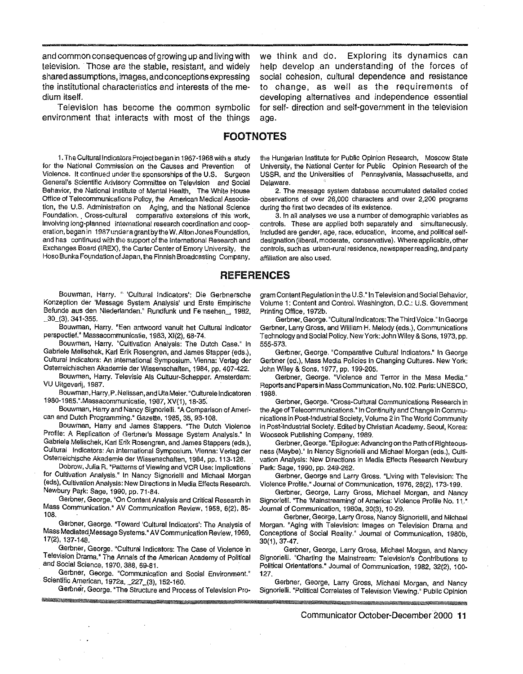and common consequences of growing up and living with television. Those are the stable, resistant, and widely shared assumptions, images, and conceptions expressing the institutional characteristics and interests of the medium itself.

Television has become the common symbolic environment that interacts with most of the things

## FOOTNOTES

1. The Cultural Indicators Project began in 1967·1968 with a study for the National Commission on the Causes and Prevention of Violence. It continued under the sponsorships of the U.S. Surgeon General's Scientific Advisory Committee on Television and Social Behavior, the National Institute of Mental Health, The White House Office of Telecommunications Polley, the American Medical Association, the U.S. Administration on Aging, and the National Science Foundation. Cross-cultural comparative extensions of this work, involving iong-planned international research coordination and cooperation, began in 1987 under a grant by the W. Alton Jones Foundation, and has continued with the support of the International Research and Exchanges Board (IREX). the Carter Center of Emory University, the Hoso Bunka Foundation of Japan, the Finnish Broadcasting Company,

Bouwman, Harry. " 'Cultural Indicators': Die Gerbnersche Konzeption der 'Message System Analysis' und Erste Empirische Befunde aus den Niederlanden." Rundfunk und Fe nsehen., 1982,  $-30(3), 341-355.$ 

Bouwman, Harry. "Een antwoord vanuit het Cultural Indicator perspectief." Massacommunicatie. 1983, XI(2), 68-74.

Bouwman, Harry. "Cultivation Analysis: The Dutch Case." In Gabriele Melisohek, Karl Erik Rosengren. and James Stapper (eds.), Cultural Indicators: An International Symposium. Vienna: Verlag der Osterreichischen Akademie der Wissenschaften, 1984, pp. 407-422.

Bouwman, Harry. Televisie Als Cultuur-Schepper. Amsterdam: VU Uilgeverij, 1987.

Bouwman, Harry, P. Nelissen, and Uta Meier. "Culturele Indicatoren 1980-198.5."'.Massacommunicatie, 1987, XV(1), 18-35:

Bouwman, Harry and Nancy Signorielli. "A Comparison of American and Dutch Programming." Gazette, 1985,35.93.108.

Bouwman, Harry and James Stappers. "The Dutch Violence Profile: A Replication of Gerbner's Message System Analysis." In Gabriele Melischek, Kan Erik Rosengren, and James Stappers (eds.), Cultural Indicators: An International Symposium. Vienna: Verlag der Osterreichische Akademie der Wissenschaften, 1984, pp. 113-128.

Dobrow, Julia R. "Patterns of Viewing and VCR Use: Implications for Cultivation Analysis." In Nancy Signorielli and Michael Morgan (eds), Cultivation Analysis: New Directions in Media Effects Research. Newbury Park: Sage, 1990, pp. 71-84.

Gerbner, George. "On Content Analysis and Critical Research in Mass Communication," AV Communication Review, 1958, 6(2), 85- 108.

Gerbner, George. "Toward 'Cultural Indicators': The Analysis of Mass Mediated.Message Systems." AV Communication Review, 1969, 17(2).137-148.

Gerbner, George. "Cultural Indicators: The Case of Violence in Television Drama." The Annals of the American Academy of Political and Social SCience. 1970. 388, 69-81.

Gerbner, George. "Communication and Social Environment." Scientific American, 1972a, \_227\_(3), 152-160.

Gerbner, George. "The Structure and Process of Television Pro-

we think and do. Exploring its dynamics can help develop an understanding of the forces of social cohesion, cultural dependence and resistance to change, as well as the requirements of developing alternatives and independence essential for self- direction and self-government in the television age.

the Hungarian Institute for Public Opinion Research, Moscow State University, the National Center for Public Opinion Research of the USSR, and the Universities of Pennsylvania, Massachusetts, and Delaware.

2. The message system database accumulated detailed coded observations of over 26,000 characters and over 2,200 programs during the first two decades of its existence.

3. In all analyses we use a number of demographic variables as controls. These are applied both separately and simultaneously. Included are gender, age, race, education, income, and political selfdesignation (liberal, moderate, conservative). Where applicable, other controls, such as urban-rural residence, newspaper reading, and party affiliation are also used.

# REFERENCES

gram Content Regulation in the U.S." In Television and Social Behavior, Volume 1: Content and Control. Washington, D.C.: U.S. Government Printing Office. 1972b.

Gerbner, George. "Cultural Indicators: The Third Voice." In George Gerbner, Larry Gross, and William H. Melody (eds.), Communications Technology and Social Policy. New York: John Wiley & Sons. 1973. pp. 555-573.

Gerbner, George. "Comparative Cultural Indicators." In George Gerbner (ed.), Mass Media Policies in Changing Cultures. New York: John Wiley & Sons, 1977, pp. 199-205.

Gerbner, George. "Violence and Terror in the Mass Media." Reports and Papers in Mass Communication, No.1 02. Paris: UNESCO, 1988.

Gerbner, George. "Cross-Cultural Communications Research in the Age of Telecommunications." In Continuity and Change in Commu~ nications in Post-Industrial Society, Volume 2 in The World Community in Post~lndustrial Society. Edited by Christian Academy. Seoul, Korea: Wooseok Publishing Company. 1989.

Gerbner, George. "Epilogue: Advancing ontha Path of Righteousness (Maybe)." In Nancy Signorielli and Michael Morgan (eds.), Cultivation Analysis: New Directions in Media Effects Research Newbury Park: Sage. 1990, pp. 249·262.

Gerbner, George and Larry Gross. "Living with Television: The Violence Profile." Journal of Communication, 1976,26(2),173·199.

Gerbner, George, Larry Gross, Michael Morgan, and Nancy Signorielli. "The 'Mainstreaming' of America: Violence Profile No. 11." Journal of Communication, 1980a. 30(3),10-29.

Gerbner, George, Larry Gross, Nancy Signorielli, and Michael Morgan. "Aging with Television: Images on Television Drama and Conceptions of Social Reality." Journal of Communication, 1980b, 30(1).37·47.

Gerbner, George, Larry Gross, Michael Morgan, and Nancy Signorielli. "Charting the Mainstream: Television's Contributions to Political Orientations." Journal of Communication, 1982, 32(2), 100- 127.

Gerbner, George, Larry Gross, Michael Morgan, and Nancy Signorielli. "Political Correlates of Television Viewing." Public Opinion

> w Communicator October-December2000 11